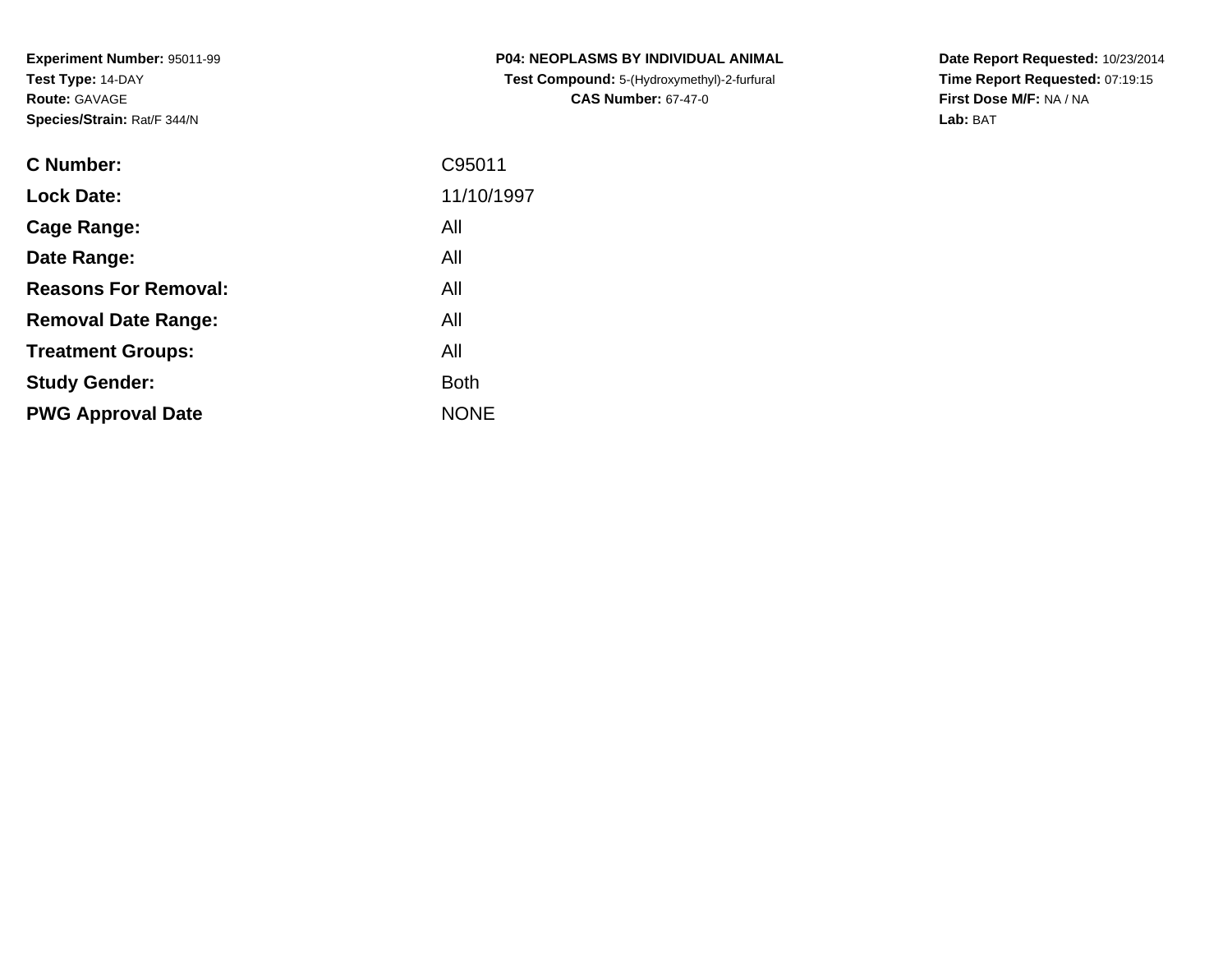| <b>C Number:</b>            | C95011      |
|-----------------------------|-------------|
| <b>Lock Date:</b>           | 11/10/1997  |
| <b>Cage Range:</b>          | All         |
| Date Range:                 | All         |
| <b>Reasons For Removal:</b> | All         |
| <b>Removal Date Range:</b>  | All         |
| <b>Treatment Groups:</b>    | All         |
| <b>Study Gender:</b>        | <b>Both</b> |
| <b>PWG Approval Date</b>    | <b>NONE</b> |
|                             |             |

**P04: NEOPLASMS BY INDIVIDUAL ANIMAL Test Compound:** 5-(Hydroxymethyl)-2-furfural **CAS Number:** 67-47-0

**Date Report Requested:** 10/23/2014 **Time Report Requested:** 07:19:15**First Dose M/F:** NA / NA**Lab:** BAT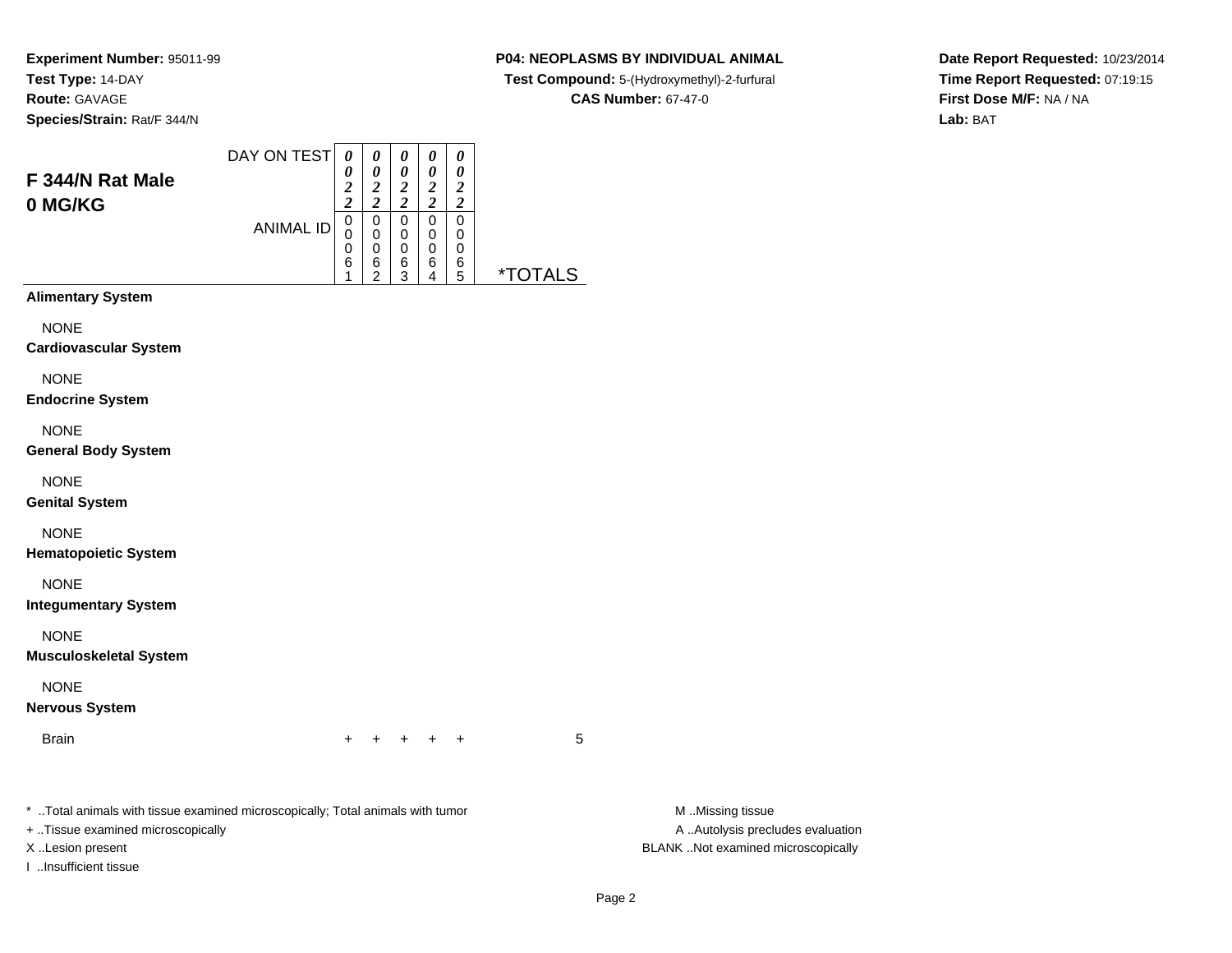#### **P04: NEOPLASMS BY INDIVIDUAL ANIMAL**

**Test Compound:** 5-(Hydroxymethyl)-2-furfural

**CAS Number:** 67-47-0

**Date Report Requested:** 10/23/2014**Time Report Requested:** 07:19:15**First Dose M/F:** NA / NA**Lab:** BAT

| F 344/N Rat Male<br>0 MG/KG | DAY ON TEST      | 0<br>0<br>$\overline{2}$<br>2 | 0<br>0<br>2<br><u>ำ</u> | 0<br>0<br>2<br>$\overline{\mathbf{c}}$ | 0<br>0<br>2<br>$\overline{c}$ | 0<br>0<br>2<br>$\overline{c}$ |                       |
|-----------------------------|------------------|-------------------------------|-------------------------|----------------------------------------|-------------------------------|-------------------------------|-----------------------|
|                             | <b>ANIMAL ID</b> |                               | 0<br>0<br>0             | 0<br>0<br>0                            | 0<br>0<br>0                   | 0<br>0<br>0                   |                       |
|                             |                  | 6                             | 6<br>◠                  | 6<br>3                                 | 6<br>4                        | 6<br>5                        | <i><b>*TOTALS</b></i> |
| <b>Alimentary System</b>    |                  |                               |                         |                                        |                               |                               |                       |
| NONE                        |                  |                               |                         |                                        |                               |                               |                       |

NONE

**Cardiovascular System**

NONE

**Endocrine System**

NONE

**General Body System**

NONE

**Genital System**

NONE

**Hematopoietic System**

NONE

**Integumentary System**

NONE

**Musculoskeletal System**

NONE

**Nervous System**

Brainn  $+$ 

<sup>+</sup> <sup>+</sup> <sup>+</sup> <sup>+</sup> <sup>5</sup>

\* ..Total animals with tissue examined microscopically; Total animals with tumor **M** ...Missing tissue M ...Missing tissue

+ ..Tissue examined microscopically

I ..Insufficient tissue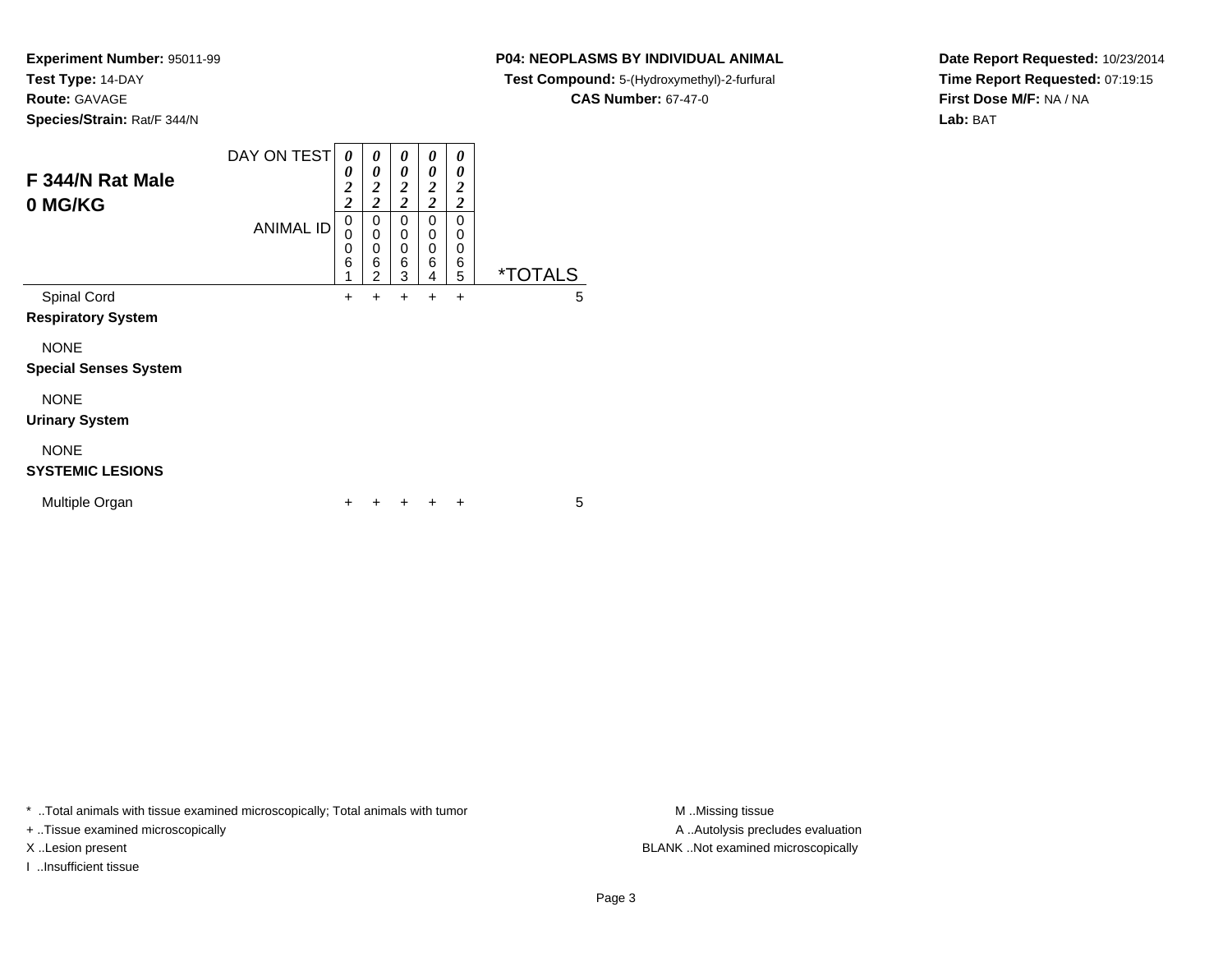**Experiment Number:** 95011-99**Test Type:** 14-DAY

**Route:** GAVAGE

**Species/Strain:** Rat/F 344/N

# **P04: NEOPLASMS BY INDIVIDUAL ANIMAL**

**Test Compound:** 5-(Hydroxymethyl)-2-furfural

**CAS Number:** 67-47-0

**Date Report Requested:** 10/23/2014**Time Report Requested:** 07:19:15**First Dose M/F:** NA / NA**Lab:** BAT

| F 344/N Rat Male<br>0 MG/KG                 | DAY ON TEST<br><b>ANIMAL ID</b> | 0<br>0<br>$\overline{c}$<br>$\overline{2}$<br>0<br>0<br>0<br>6<br>1 | 0<br>0<br>$\overline{2}$<br>$\overline{c}$<br>0<br>0<br>0<br>6<br>$\mathfrak{p}$ | 0<br>0<br>$\overline{2}$<br>$\overline{2}$<br>0<br>0<br>0<br>6<br>3 | 0<br>0<br>$\boldsymbol{2}$<br>$\overline{c}$<br>$\Omega$<br>0<br>0<br>6<br>4 | 0<br>0<br>$\overline{2}$<br>$\overline{2}$<br>$\Omega$<br>0<br>0<br>6<br>5 | <i><b>*TOTALS</b></i> |
|---------------------------------------------|---------------------------------|---------------------------------------------------------------------|----------------------------------------------------------------------------------|---------------------------------------------------------------------|------------------------------------------------------------------------------|----------------------------------------------------------------------------|-----------------------|
| Spinal Cord<br><b>Respiratory System</b>    |                                 | $\ddot{}$                                                           | $\ddot{}$                                                                        | +                                                                   | $\ddot{}$                                                                    | $\ddot{}$                                                                  | 5                     |
| <b>NONE</b><br><b>Special Senses System</b> |                                 |                                                                     |                                                                                  |                                                                     |                                                                              |                                                                            |                       |
| <b>NONE</b><br><b>Urinary System</b>        |                                 |                                                                     |                                                                                  |                                                                     |                                                                              |                                                                            |                       |
| <b>NONE</b><br><b>SYSTEMIC LESIONS</b>      |                                 |                                                                     |                                                                                  |                                                                     |                                                                              |                                                                            |                       |
| Multiple Organ                              |                                 |                                                                     |                                                                                  |                                                                     |                                                                              | ٠                                                                          | 5                     |

\* ..Total animals with tissue examined microscopically; Total animals with tumor **M** . Missing tissue M ..Missing tissue

+ ..Tissue examined microscopically

I ..Insufficient tissue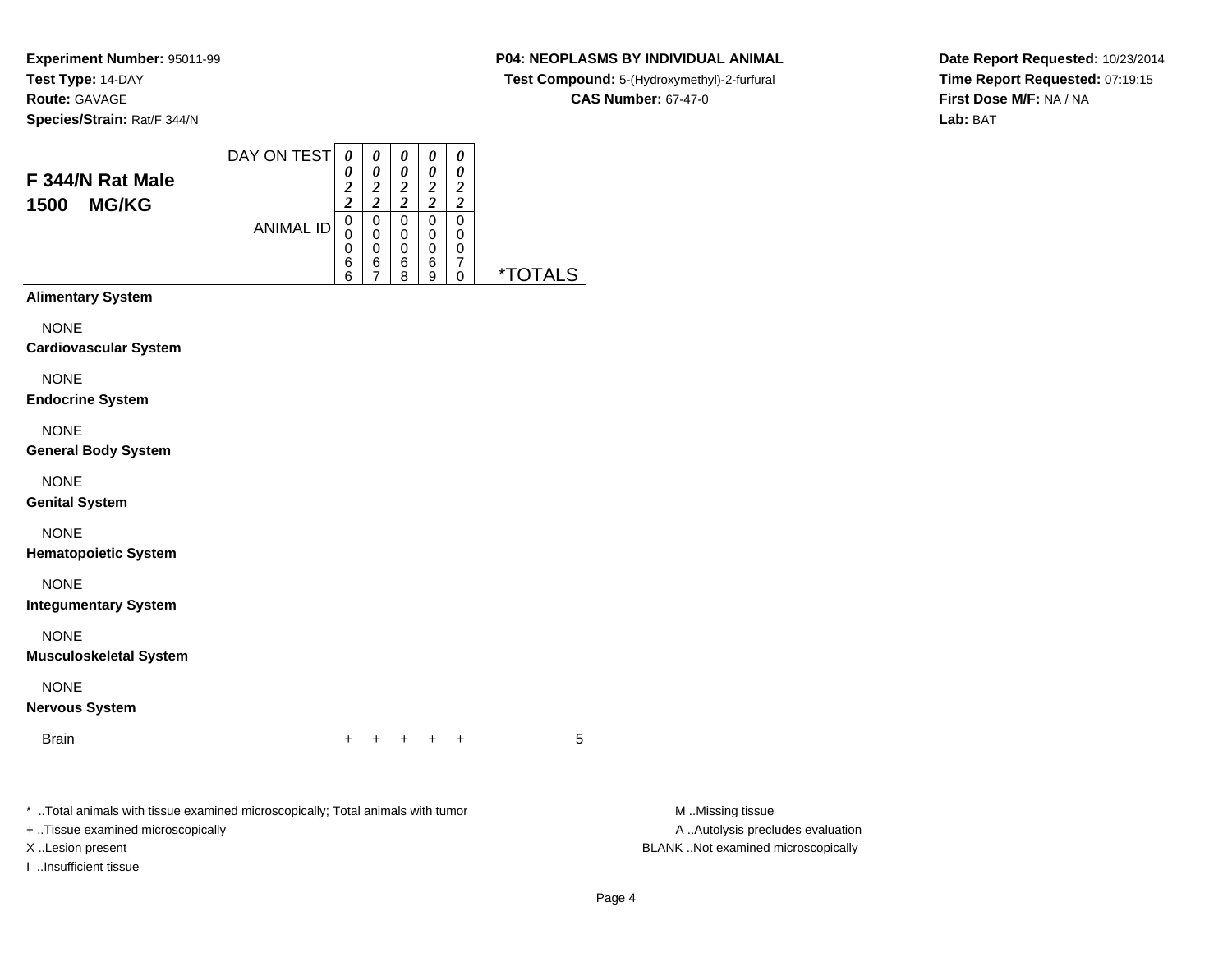### **P04: NEOPLASMS BY INDIVIDUAL ANIMAL**

**Test Compound:** 5-(Hydroxymethyl)-2-furfural

**CAS Number:** 67-47-0

**Date Report Requested:** 10/23/2014**Time Report Requested:** 07:19:15**First Dose M/F:** NA / NA**Lab:** BAT

| F 344/N Rat Male<br><b>MG/KG</b><br>1500 | DAY ON TEST<br><b>ANIMAL ID</b> | $\theta$<br>0<br>2<br>$\overline{\mathbf{2}}$<br>0<br>0<br>0<br>6<br>6 | 0<br>$\boldsymbol{\theta}$<br>2<br>ኅ<br>0<br>0<br>0<br>6<br>⇁ | 0<br>0<br>2<br>2<br>0<br>$\mathbf 0$<br>0<br>6<br>8 | 0<br>0<br>2<br>2<br>0<br>$\mathbf 0$<br>0<br>6<br>9 | 0<br>0<br>2<br>2<br>0<br>0<br>0<br>7<br>0 | <i><b>*TOTALS</b></i> |
|------------------------------------------|---------------------------------|------------------------------------------------------------------------|---------------------------------------------------------------|-----------------------------------------------------|-----------------------------------------------------|-------------------------------------------|-----------------------|
| <b>Alimentary System</b>                 |                                 |                                                                        |                                                               |                                                     |                                                     |                                           |                       |
| <b>NONE</b>                              |                                 |                                                                        |                                                               |                                                     |                                                     |                                           |                       |

**Cardiovascular System**

NONE

**Endocrine System**

NONE

**General Body System**

NONE

**Genital System**

NONE

**Hematopoietic System**

NONE

**Integumentary System**

NONE

**Musculoskeletal System**

NONE

**Nervous System**

Brainn  $+$ 

<sup>+</sup> <sup>+</sup> <sup>+</sup> <sup>+</sup> <sup>5</sup>

\* ..Total animals with tissue examined microscopically; Total animals with tumor **M** ...Missing tissue M ...Missing tissue

+ ..Tissue examined microscopically

I ..Insufficient tissue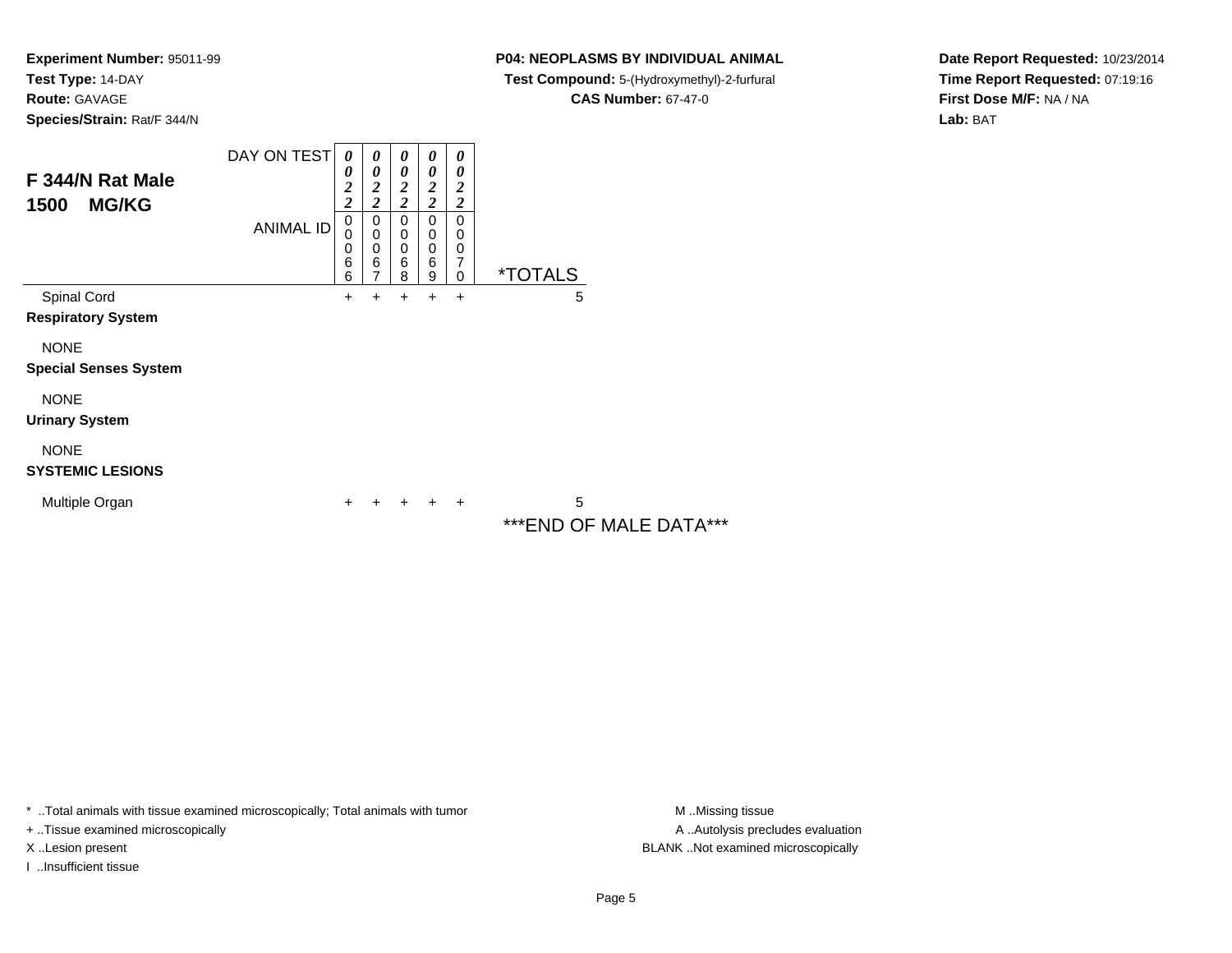**Experiment Number:** 95011-99**Test Type:** 14-DAY**Route:** GAVAGE

**Species/Strain:** Rat/F 344/N

**P04: NEOPLASMS BY INDIVIDUAL ANIMAL**

**Test Compound:** 5-(Hydroxymethyl)-2-furfural

**CAS Number:** 67-47-0

**Date Report Requested:** 10/23/2014**Time Report Requested:** 07:19:16**First Dose M/F:** NA / NA**Lab:** BAT

| F 344/N Rat Male<br>1500<br><b>MG/KG</b>    | DAY ON TEST      | $\boldsymbol{\theta}$<br>0<br>$\overline{\mathbf{c}}$<br>$\overline{\mathbf{c}}$ | 0<br>0<br>2<br>$\overline{\mathbf{c}}$ | $\boldsymbol{\theta}$<br>$\boldsymbol{\theta}$<br>$\boldsymbol{2}$<br>$\overline{\mathbf{c}}$<br>0 | $\boldsymbol{\theta}$<br>0<br>$\boldsymbol{2}$<br>$\overline{\mathbf{c}}$ | 0<br>0<br>$\boldsymbol{2}$<br>$\overline{\mathbf{c}}$  |                         |
|---------------------------------------------|------------------|----------------------------------------------------------------------------------|----------------------------------------|----------------------------------------------------------------------------------------------------|---------------------------------------------------------------------------|--------------------------------------------------------|-------------------------|
|                                             | <b>ANIMAL ID</b> | $\mathbf 0$<br>0<br>0<br>6<br>6                                                  | 0<br>$\mathbf 0$<br>0<br>6<br>7        | $\mathbf 0$<br>0<br>6<br>8                                                                         | 0<br>$\mathbf 0$<br>$\mathbf 0$<br>$6\phantom{1}6$<br>$\boldsymbol{9}$    | 0<br>0<br>$\mathbf 0$<br>$\overline{7}$<br>$\mathbf 0$ | <i><b>*TOTALS</b></i>   |
| Spinal Cord                                 |                  | +                                                                                | $\ddot{}$                              | +                                                                                                  | +                                                                         | $\ddot{}$                                              | 5                       |
| <b>Respiratory System</b>                   |                  |                                                                                  |                                        |                                                                                                    |                                                                           |                                                        |                         |
| <b>NONE</b><br><b>Special Senses System</b> |                  |                                                                                  |                                        |                                                                                                    |                                                                           |                                                        |                         |
| <b>NONE</b>                                 |                  |                                                                                  |                                        |                                                                                                    |                                                                           |                                                        |                         |
| <b>Urinary System</b>                       |                  |                                                                                  |                                        |                                                                                                    |                                                                           |                                                        |                         |
| <b>NONE</b>                                 |                  |                                                                                  |                                        |                                                                                                    |                                                                           |                                                        |                         |
| <b>SYSTEMIC LESIONS</b>                     |                  |                                                                                  |                                        |                                                                                                    |                                                                           |                                                        |                         |
| Multiple Organ                              |                  | +                                                                                |                                        |                                                                                                    | +                                                                         | $\ddot{}$                                              | 5                       |
|                                             |                  |                                                                                  |                                        |                                                                                                    |                                                                           |                                                        | *** END OF MALE DATA*** |

\* ..Total animals with tissue examined microscopically; Total animals with tumor **M** . Missing tissue M ..Missing tissue

+ ..Tissue examined microscopically

I ..Insufficient tissue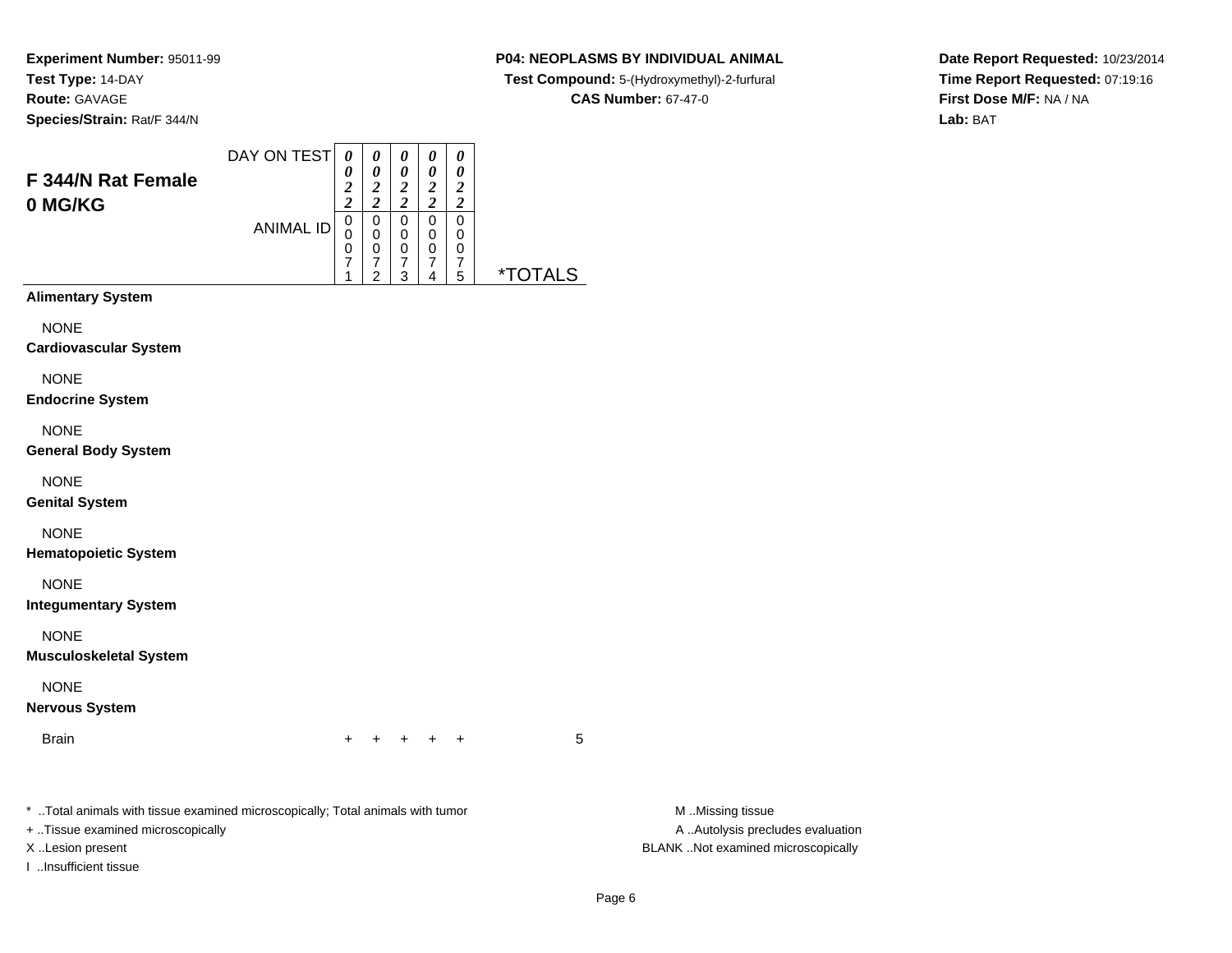**P04: NEOPLASMS BY INDIVIDUAL ANIMAL**

**Test Compound:** 5-(Hydroxymethyl)-2-furfural

**CAS Number:** 67-47-0

**Date Report Requested:** 10/23/2014**Time Report Requested:** 07:19:16**First Dose M/F:** NA / NA**Lab:** BAT

DAY ON TEST**F 344/N Rat Female0 MG/KG**ANIMAL ID*0 0 2 2*0<br>0<br>7<br>7 1*0 0 2 2*0<br>0<br>0<br>7<br>2 *0 0 2 2*0<br>0<br>7<br>7 3*0 0 2 2* 0 0 0 7 4*0 0 2 2* 0 00<br>7<br>5 5 \*TOTALS**Alimentary System**

**NONE** 

**Cardiovascular System**

NONE

**Endocrine System**

NONE

**General Body System**

NONE

**Genital System**

NONE

**Hematopoietic System**

NONE

**Integumentary System**

NONE

**Musculoskeletal System**

NONE

**Nervous System**

**Brain** n  $+$ 

<sup>+</sup> <sup>+</sup> <sup>+</sup> <sup>+</sup> <sup>5</sup>

\* ..Total animals with tissue examined microscopically; Total animals with tumor **M** ..Missing tissue M ..Missing tissue

+ ..Tissue examined microscopically

I ..Insufficient tissue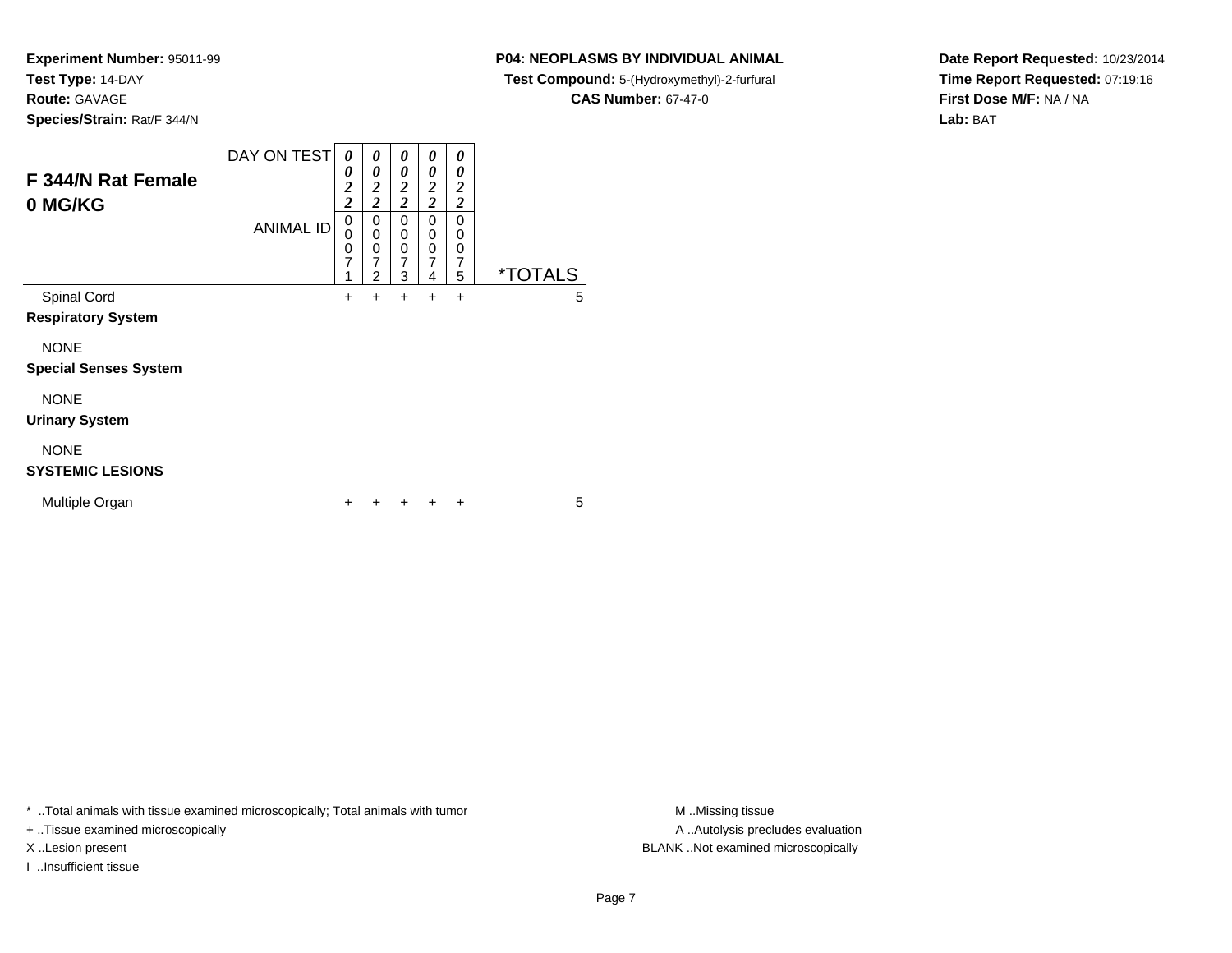**Experiment Number:** 95011-99**Test Type:** 14-DAY

**Route:** GAVAGE

**Species/Strain:** Rat/F 344/N

|  | P04: NEOPLASMS BY INDIVIDUAL ANIMAL |  |
|--|-------------------------------------|--|
|  |                                     |  |

**Test Compound:** 5-(Hydroxymethyl)-2-furfural

**CAS Number:** 67-47-0

**Date Report Requested:** 10/23/2014**Time Report Requested:** 07:19:16**First Dose M/F:** NA / NA**Lab:** BAT

| F 344/N Rat Female<br>0 MG/KG               | DAY ON TEST<br><b>ANIMAL ID</b> | 0<br>0<br>$\overline{2}$<br>$\overline{2}$<br>0<br>$\mathbf 0$<br>$\mathbf 0$<br>$\overline{7}$<br>1 | 0<br>0<br>2<br>$\overline{2}$<br>0<br>0<br>0<br>$\overline{7}$<br>$\mathfrak{p}$ | 0<br>0<br>$\overline{2}$<br>$\overline{2}$<br>$\Omega$<br>$\mathbf 0$<br>0<br>$\overline{7}$<br>3 | 0<br>0<br>2<br>$\overline{c}$<br>$\Omega$<br>0<br>0<br>7<br>4 | 0<br>0<br>$\boldsymbol{2}$<br>$\overline{2}$<br>$\Omega$<br>0<br>0<br>$\overline{7}$<br>5 | <i><b>*TOTALS</b></i> |
|---------------------------------------------|---------------------------------|------------------------------------------------------------------------------------------------------|----------------------------------------------------------------------------------|---------------------------------------------------------------------------------------------------|---------------------------------------------------------------|-------------------------------------------------------------------------------------------|-----------------------|
| Spinal Cord<br><b>Respiratory System</b>    |                                 | $\ddot{}$                                                                                            | $\div$                                                                           | $\ddot{}$                                                                                         | $\div$                                                        | $\ddot{}$                                                                                 | 5                     |
| <b>NONE</b><br><b>Special Senses System</b> |                                 |                                                                                                      |                                                                                  |                                                                                                   |                                                               |                                                                                           |                       |
| <b>NONE</b><br><b>Urinary System</b>        |                                 |                                                                                                      |                                                                                  |                                                                                                   |                                                               |                                                                                           |                       |
| <b>NONE</b><br><b>SYSTEMIC LESIONS</b>      |                                 |                                                                                                      |                                                                                  |                                                                                                   |                                                               |                                                                                           |                       |
| Multiple Organ                              |                                 | ٠                                                                                                    |                                                                                  |                                                                                                   |                                                               | +                                                                                         | 5                     |

\* ..Total animals with tissue examined microscopically; Total animals with tumor **M** . Missing tissue M ..Missing tissue

+ ..Tissue examined microscopically

I ..Insufficient tissue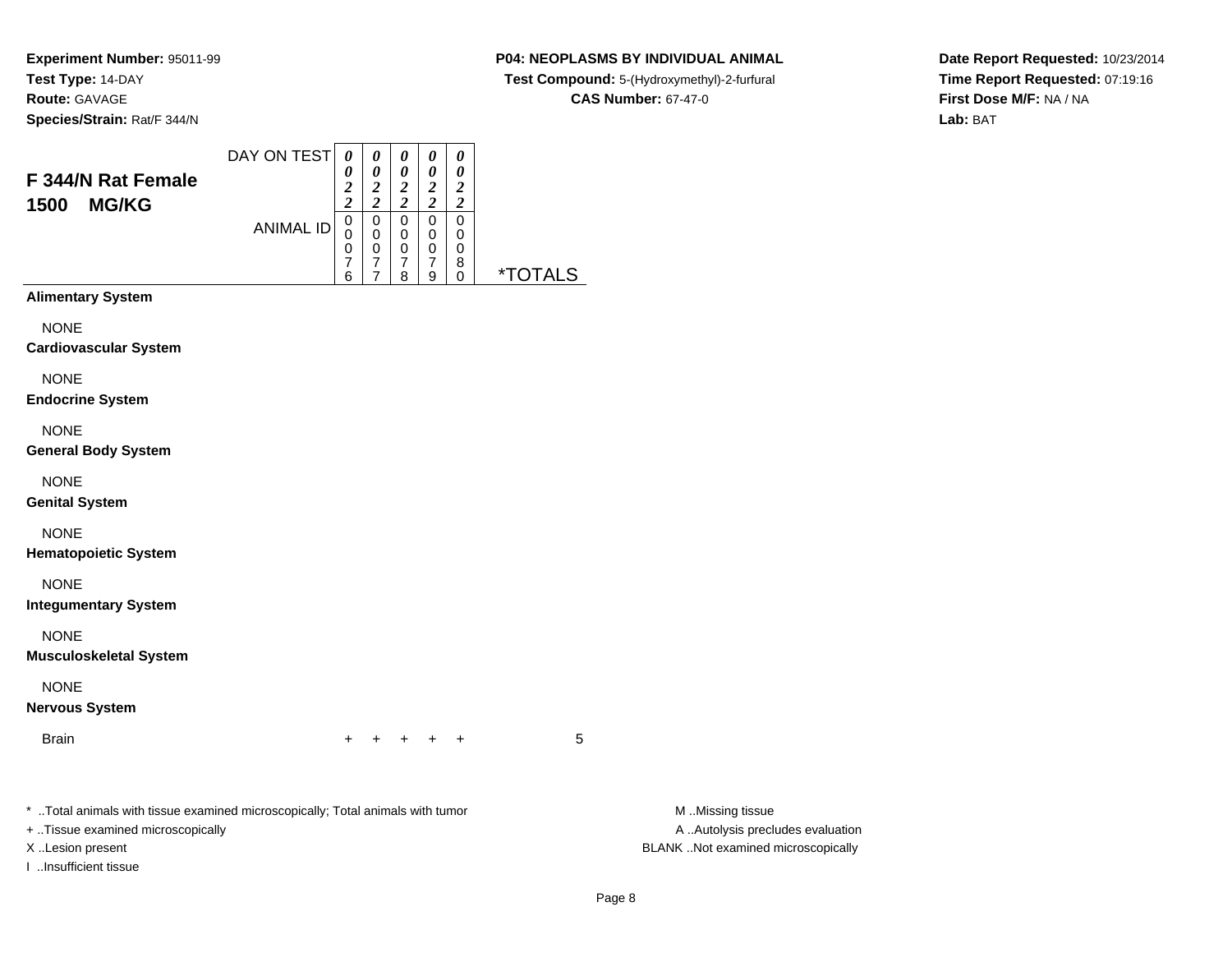### **P04: NEOPLASMS BY INDIVIDUAL ANIMAL**

**Test Compound:** 5-(Hydroxymethyl)-2-furfural

**CAS Number:** 67-47-0

**Date Report Requested:** 10/23/2014**Time Report Requested:** 07:19:16**First Dose M/F:** NA / NA**Lab:** BAT

| F 344/N Rat Female<br><b>MG/KG</b><br>1500 | DAY ON TEST<br><b>ANIMAL ID</b> | 0<br>0<br>2<br>7<br>0<br>0<br>0<br>7<br>6 | 0<br>0<br>2<br>ኅ<br>0<br>0<br>0<br>7 | 0<br>0<br>$\overline{2}$<br>2<br>0<br>$\mathbf 0$<br>$\mathbf 0$<br>7<br>8 | 0<br>0<br>$\overline{2}$<br>2<br>0<br>0<br>0<br>7<br>9 | 0<br>0<br>2<br>$\overline{\mathbf{c}}$<br>0<br>0<br>0<br>8<br>0 | <i><b>*TOTALS</b></i> |
|--------------------------------------------|---------------------------------|-------------------------------------------|--------------------------------------|----------------------------------------------------------------------------|--------------------------------------------------------|-----------------------------------------------------------------|-----------------------|
| <b>Alimentary System</b><br><b>NONE</b>    |                                 |                                           |                                      |                                                                            |                                                        |                                                                 |                       |
| <b>Cardiovascular System</b>               |                                 |                                           |                                      |                                                                            |                                                        |                                                                 |                       |

NONE

**Endocrine System**

NONE

**General Body System**

NONE

**Genital System**

NONE

**Hematopoietic System**

NONE

**Integumentary System**

NONE

**Musculoskeletal System**

NONE

**Nervous System**

Brainn  $+$ 

<sup>+</sup> <sup>+</sup> <sup>+</sup> <sup>+</sup> <sup>5</sup>

\* ..Total animals with tissue examined microscopically; Total animals with tumor **M** ...Missing tissue M ...Missing tissue

+ ..Tissue examined microscopically

I ..Insufficient tissue